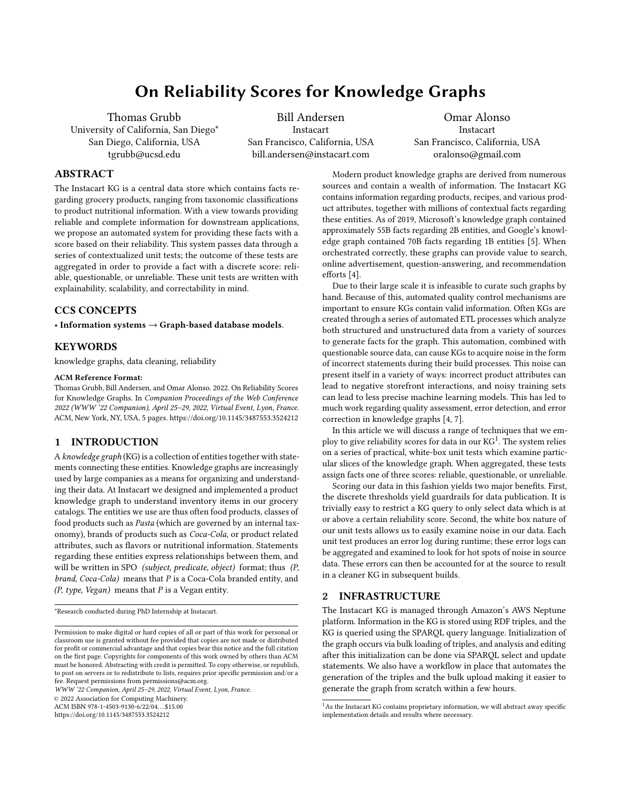# On Reliability Scores for Knowledge Graphs

Thomas Grubb University of California, San Diego\* San Diego, California, USA tgrubb@ucsd.edu

Bill Andersen Instacart San Francisco, California, USA bill.andersen@instacart.com

Omar Alonso Instacart San Francisco, California, USA oralonso@gmail.com

# ABSTRACT

The Instacart KG is a central data store which contains facts regarding grocery products, ranging from taxonomic classifications to product nutritional information. With a view towards providing reliable and complete information for downstream applications, we propose an automated system for providing these facts with a score based on their reliability. This system passes data through a series of contextualized unit tests; the outcome of these tests are aggregated in order to provide a fact with a discrete score: reliable, questionable, or unreliable. These unit tests are written with explainability, scalability, and correctability in mind.

## CCS CONCEPTS

• Information systems  $\rightarrow$  Graph-based database models.

# **KEYWORDS**

knowledge graphs, data cleaning, reliability

#### ACM Reference Format:

Thomas Grubb, Bill Andersen, and Omar Alonso. 2022. On Reliability Scores for Knowledge Graphs. In Companion Proceedings of the Web Conference 2022 (WWW '22 Companion), April 25–29, 2022, Virtual Event, Lyon, France. ACM, New York, NY, USA, [5](#page-4-0) pages.<https://doi.org/10.1145/3487553.3524212>

# 1 INTRODUCTION

A knowledge graph (KG) is a collection of entities together with statements connecting these entities. Knowledge graphs are increasingly used by large companies as a means for organizing and understanding their data. At Instacart we designed and implemented a product knowledge graph to understand inventory items in our grocery catalogs. The entities we use are thus often food products, classes of food products such as Pasta (which are governed by an internal taxonomy), brands of products such as Coca-Cola, or product related attributes, such as flavors or nutritional information. Statements regarding these entities express relationships between them, and will be written in SPO (subject, predicate, object) format; thus (P,  $brand, Coca-Cola)$  means that  $P$  is a Coca-Cola branded entity, and  $(P, type, Vega)$  means that  $P$  is a Vegan entity.

\*Research conducted during PhD Internship at Instacart.

WWW '22 Companion, April 25–29, 2022, Virtual Event, Lyon, France.

© 2022 Association for Computing Machinery.

ACM ISBN 978-1-4503-9130-6/22/04. . . \$15.00

<https://doi.org/10.1145/3487553.3524212>

Modern product knowledge graphs are derived from numerous sources and contain a wealth of information. The Instacart KG contains information regarding products, recipes, and various product attributes, together with millions of contextual facts regarding these entities. As of 2019, Microsoft's knowledge graph contained approximately 55B facts regarding 2B entities, and Google's knowledge graph contained 70B facts regarding 1B entities [\[5\]](#page-4-1). When orchestrated correctly, these graphs can provide value to search, online advertisement, question-answering, and recommendation efforts [\[4\]](#page-4-2).

Due to their large scale it is infeasible to curate such graphs by hand. Because of this, automated quality control mechanisms are important to ensure KGs contain valid information. Often KGs are created through a series of automated ETL processes which analyze both structured and unstructured data from a variety of sources to generate facts for the graph. This automation, combined with questionable source data, can cause KGs to acquire noise in the form of incorrect statements during their build processes. This noise can present itself in a variety of ways: incorrect product attributes can lead to negative storefront interactions, and noisy training sets can lead to less precise machine learning models. This has led to much work regarding quality assessment, error detection, and error correction in knowledge graphs [\[4,](#page-4-2) [7\]](#page-4-3).

In this article we will discuss a range of techniques that we employ to give reliability scores for data in our  $KG^1$  $KG^1$ . The system relies on a series of practical, white-box unit tests which examine particular slices of the knowledge graph. When aggregated, these tests assign facts one of three scores: reliable, questionable, or unreliable.

Scoring our data in this fashion yields two major benefits. First, the discrete thresholds yield guardrails for data publication. It is trivially easy to restrict a KG query to only select data which is at or above a certain reliability score. Second, the white box nature of our unit tests allows us to easily examine noise in our data. Each unit test produces an error log during runtime; these error logs can be aggregated and examined to look for hot spots of noise in source data. These errors can then be accounted for at the source to result in a cleaner KG in subsequent builds.

# 2 INFRASTRUCTURE

The Instacart KG is managed through Amazon's AWS Neptune platform. Information in the KG is stored using RDF triples, and the KG is queried using the SPARQL query language. Initialization of the graph occurs via bulk loading of triples, and analysis and editing after this initialization can be done via SPARQL select and update statements. We also have a workflow in place that automates the generation of the triples and the bulk upload making it easier to generate the graph from scratch within a few hours.

Permission to make digital or hard copies of all or part of this work for personal or classroom use is granted without fee provided that copies are not made or distributed for profit or commercial advantage and that copies bear this notice and the full citation on the first page. Copyrights for components of this work owned by others than ACM must be honored. Abstracting with credit is permitted. To copy otherwise, or republish, to post on servers or to redistribute to lists, requires prior specific permission and/or a fee. Request permissions from permissions@acm.org.

<span id="page-0-0"></span><sup>&</sup>lt;sup>1</sup>As the Instacart KG contains proprietary information, we will abstract away specific implementation details and results where necessary.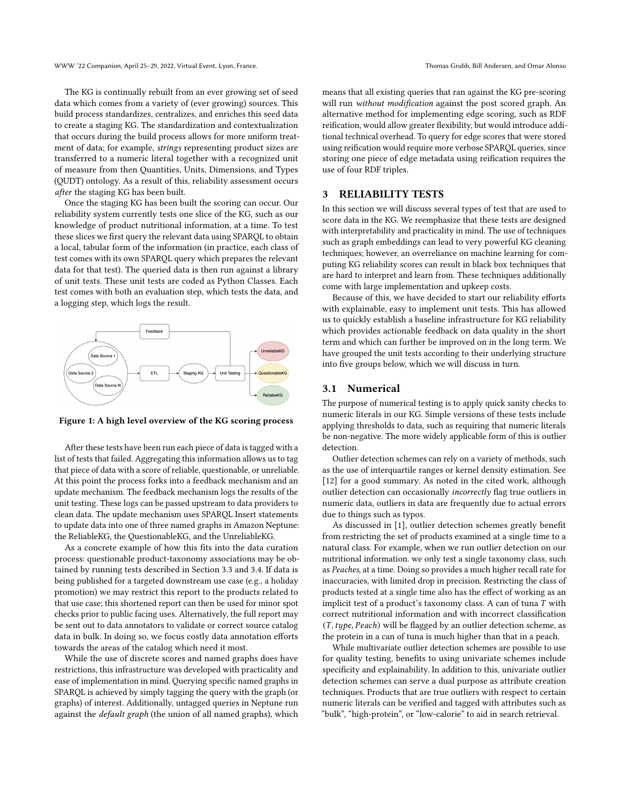The KG is continually rebuilt from an ever growing set of seed data which comes from a variety of (ever growing) sources. This build process standardizes, centralizes, and enriches this seed data to create a staging KG. The standardization and contextualization that occurs during the build process allows for more uniform treatment of data; for example, strings representing product sizes are transferred to a numeric literal together with a recognized unit of measure from then Quantities, Units, Dimensions, and Types (QUDT) ontology. As a result of this, reliability assessment occurs after the staging KG has been built.

Once the staging KG has been built the scoring can occur. Our reliability system currently tests one slice of the KG, such as our knowledge of product nutritional information, at a time. To test these slices we first query the relevant data using SPARQL to obtain a local, tabular form of the information (in practice, each class of test comes with its own SPARQL query which prepares the relevant data for that test). The queried data is then run against a library of unit tests. These unit tests are coded as Python Classes. Each test comes with both an evaluation step, which tests the data, and a logging step, which logs the result.



Figure 1: A high level overview of the KG scoring process

After these tests have been run each piece of data is tagged with a list of tests that failed. Aggregating this information allows us to tag that piece of data with a score of reliable, questionable, or unreliable. At this point the process forks into a feedback mechanism and an update mechanism. The feedback mechanism logs the results of the unit testing. These logs can be passed upstream to data providers to clean data. The update mechanism uses SPARQL Insert statements to update data into one of three named graphs in Amazon Neptune: the ReliableKG, the QuestionableKG, and the UnreliableKG.

As a concrete example of how this fits into the data curation process: questionable product-taxonomy associations may be obtained by running tests described in Section 3.3 and 3.4. If data is being published for a targeted downstream use case (e.g., a holiday promotion) we may restrict this report to the products related to that use case; this shortened report can then be used for minor spot checks prior to public facing uses. Alternatively, the full report may be sent out to data annotators to validate or correct source catalog data in bulk. In doing so, we focus costly data annotation efforts towards the areas of the catalog which need it most.

While the use of discrete scores and named graphs does have restrictions, this infrastructure was developed with practicality and ease of implementation in mind. Querying specific named graphs in SPARQL is achieved by simply tagging the query with the graph (or graphs) of interest. Additionally, untagged queries in Neptune run against the default graph (the union of all named graphs), which means that all existing queries that ran against the KG pre-scoring will run without modification against the post scored graph. An alternative method for implementing edge scoring, such as RDF reification, would allow greater flexibility, but would introduce additional technical overhead. To query for edge scores that were stored using reification would require more verbose SPARQL queries, since storing one piece of edge metadata using reification requires the use of four RDF triples.

## 3 RELIABILITY TESTS

In this section we will discuss several types of test that are used to score data in the KG. We reemphasize that these tests are designed with interpretability and practicality in mind. The use of techniques such as graph embeddings can lead to very powerful KG cleaning techniques; however, an overreliance on machine learning for computing KG reliability scores can result in black box techniques that are hard to interpret and learn from. These techniques additionally come with large implementation and upkeep costs.

Because of this, we have decided to start our reliability efforts with explainable, easy to implement unit tests. This has allowed us to quickly establish a baseline infrastructure for KG reliability which provides actionable feedback on data quality in the short term and which can further be improved on in the long term. We have grouped the unit tests according to their underlying structure into five groups below, which we will discuss in turn.

#### 3.1 Numerical

The purpose of numerical testing is to apply quick sanity checks to numeric literals in our KG. Simple versions of these tests include applying thresholds to data, such as requiring that numeric literals be non-negative. The more widely applicable form of this is outlier detection.

Outlier detection schemes can rely on a variety of methods, such as the use of interquartile ranges or kernel density estimation. See [\[12\]](#page-4-4) for a good summary. As noted in the cited work, although outlier detection can occasionally incorrectly flag true outliers in numeric data, outliers in data are frequently due to actual errors due to things such as typos.

As discussed in [\[1\]](#page-4-5), outlier detection schemes greatly benefit from restricting the set of products examined at a single time to a natural class. For example, when we run outlier detection on our nutritional information. we only test a single taxonomy class, such as Peaches, at a time. Doing so provides a much higher recall rate for inaccuracies, with limited drop in precision. Restricting the class of products tested at a single time also has the effect of working as an implicit test of a product's taxonomy class. A can of tuna  $T$  with correct nutritional information and with incorrect classification  $(T, type, Peach)$  will be flagged by an outlier detection scheme, as the protein in a can of tuna is much higher than that in a peach.

While multivariate outlier detection schemes are possible to use for quality testing, benefits to using univariate schemes include specificity and explainability. In addition to this, univariate outlier detection schemes can serve a dual purpose as attribute creation techniques. Products that are true outliers with respect to certain numeric literals can be verified and tagged with attributes such as "bulk", "high-protein", or "low-calorie" to aid in search retrieval.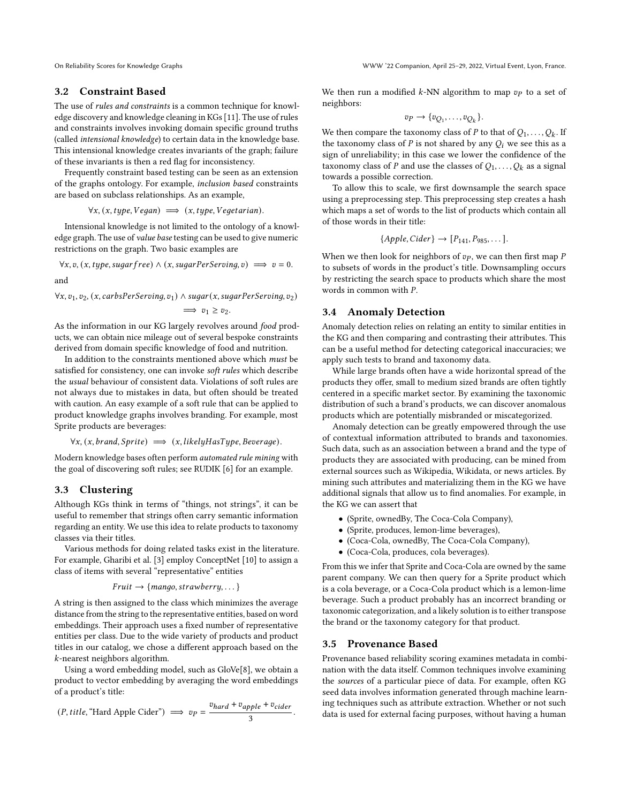## 3.2 Constraint Based

The use of rules and constraints is a common technique for knowledge discovery and knowledge cleaning in KGs [\[11\]](#page-4-6). The use of rules and constraints involves invoking domain specific ground truths (called intensional knowledge) to certain data in the knowledge base. This intensional knowledge creates invariants of the graph; failure of these invariants is then a red flag for inconsistency.

Frequently constraint based testing can be seen as an extension of the graphs ontology. For example, inclusion based constraints are based on subclass relationships. As an example,

$$
\forall x, (x, type, Vegan) \implies (x, type, Vegetarian).
$$

Intensional knowledge is not limited to the ontology of a knowledge graph. The use of value base testing can be used to give numeric restrictions on the graph. Two basic examples are

 $\forall x, v, (x, type, sugar free) \land (x, sugarPerServing, v) \implies v = 0.$ and

 $\forall x, v_1, v_2, (x, carbsPerServing, v_1) \wedge sugar(x, sugarPerServing, v_2)$ 

$$
\implies v_1 \ge v_2.
$$

As the information in our KG largely revolves around food products, we can obtain nice mileage out of several bespoke constraints derived from domain specific knowledge of food and nutrition.

In addition to the constraints mentioned above which must be satisfied for consistency, one can invoke soft rules which describe the usual behaviour of consistent data. Violations of soft rules are not always due to mistakes in data, but often should be treated with caution. An easy example of a soft rule that can be applied to product knowledge graphs involves branding. For example, most Sprite products are beverages:

$$
\forall x, (x, brand, Sprite) \implies (x, likelyHasType, Beverage).
$$

Modern knowledge bases often perform automated rule mining with the goal of discovering soft rules; see RUDIK [\[6\]](#page-4-7) for an example.

## 3.3 Clustering

Although KGs think in terms of "things, not strings", it can be useful to remember that strings often carry semantic information regarding an entity. We use this idea to relate products to taxonomy classes via their titles.

Various methods for doing related tasks exist in the literature. For example, Gharibi et al. [\[3\]](#page-4-8) employ ConceptNet [\[10\]](#page-4-9) to assign a class of items with several "representative" entities

$$
Fruit \rightarrow \{mango, strawberry, \dots\}
$$

A string is then assigned to the class which minimizes the average distance from the string to the representative entities, based on word embeddings. Their approach uses a fixed number of representative entities per class. Due to the wide variety of products and product titles in our catalog, we chose a different approach based on the -nearest neighbors algorithm.

Using a word embedding model, such as GloVe[\[8\]](#page-4-10), we obtain a product to vector embedding by averaging the word embeddings of a product's title:

$$
(P, title, "Hard Apple Cider") \implies v_P = \frac{v_{hard} + v_{apple} + v_{cider}}{3}
$$

We then run a modified  $k$ -NN algorithm to map  $v_p$  to a set of neighbors:

$$
v_P \to \{v_{Q_1}, \ldots, v_{Q_k}\}.
$$

We then compare the taxonomy class of  $P$  to that of  $Q_1, \ldots, Q_k$ . If the taxonomy class of  $P$  is not shared by any  $Q_i$  we see this as a sign of unreliability; in this case we lower the confidence of the taxonomy class of P and use the classes of  $Q_1, \ldots, Q_k$  as a signal towards a possible correction.

To allow this to scale, we first downsample the search space using a preprocessing step. This preprocessing step creates a hash which maps a set of words to the list of products which contain all of those words in their title:

$$
\{Apple, Cider\} \rightarrow [P_{141}, P_{985}, \dots].
$$

When we then look for neighbors of  $v_p$ , we can then first map  $P$ to subsets of words in the product's title. Downsampling occurs by restricting the search space to products which share the most words in common with  $P$ .

## 3.4 Anomaly Detection

Anomaly detection relies on relating an entity to similar entities in the KG and then comparing and contrasting their attributes. This can be a useful method for detecting categorical inaccuracies; we apply such tests to brand and taxonomy data.

While large brands often have a wide horizontal spread of the products they offer, small to medium sized brands are often tightly centered in a specific market sector. By examining the taxonomic distribution of such a brand's products, we can discover anomalous products which are potentially misbranded or miscategorized.

Anomaly detection can be greatly empowered through the use of contextual information attributed to brands and taxonomies. Such data, such as an association between a brand and the type of products they are associated with producing, can be mined from external sources such as Wikipedia, Wikidata, or news articles. By mining such attributes and materializing them in the KG we have additional signals that allow us to find anomalies. For example, in the KG we can assert that

- (Sprite, ownedBy, The Coca-Cola Company),
- (Sprite, produces, lemon-lime beverages),
- (Coca-Cola, ownedBy, The Coca-Cola Company),
- (Coca-Cola, produces, cola beverages).

From this we infer that Sprite and Coca-Cola are owned by the same parent company. We can then query for a Sprite product which is a cola beverage, or a Coca-Cola product which is a lemon-lime beverage. Such a product probably has an incorrect branding or taxonomic categorization, and a likely solution is to either transpose the brand or the taxonomy category for that product.

#### 3.5 Provenance Based

.

Provenance based reliability scoring examines metadata in combination with the data itself. Common techniques involve examining the sources of a particular piece of data. For example, often KG seed data involves information generated through machine learning techniques such as attribute extraction. Whether or not such data is used for external facing purposes, without having a human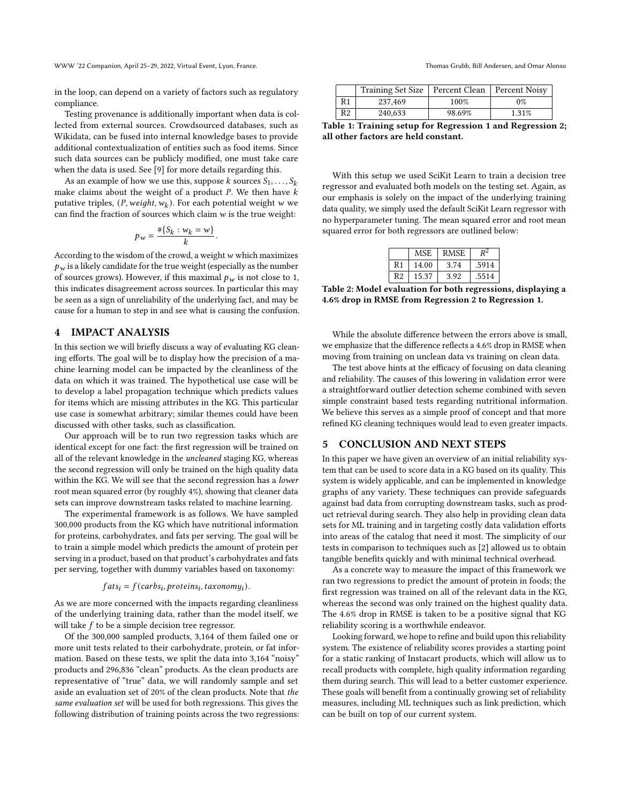in the loop, can depend on a variety of factors such as regulatory compliance.

Testing provenance is additionally important when data is collected from external sources. Crowdsourced databases, such as Wikidata, can be fused into internal knowledge bases to provide additional contextualization of entities such as food items. Since such data sources can be publicly modified, one must take care when the data is used. See [\[9\]](#page-4-11) for more details regarding this.

As an example of how we use this, suppose k sources  $S_1, \ldots, S_k$ make claims about the weight of a product  $P$ . We then have  $k$ putative triples,  $(P, weight, w_k)$ . For each potential weight w we can find the fraction of sources which claim  $w$  is the true weight:

$$
p_w = \frac{\#\{S_k : w_k = w\}}{k}.
$$

According to the wisdom of the crowd, a weight  $w$  which maximizes  $p_w$  is a likely candidate for the true weight (especially as the number of sources grows). However, if this maximal  $p_w$  is not close to 1, this indicates disagreement across sources. In particular this may be seen as a sign of unreliability of the underlying fact, and may be cause for a human to step in and see what is causing the confusion.

# 4 IMPACT ANALYSIS

In this section we will briefly discuss a way of evaluating KG cleaning efforts. The goal will be to display how the precision of a machine learning model can be impacted by the cleanliness of the data on which it was trained. The hypothetical use case will be to develop a label propagation technique which predicts values for items which are missing attributes in the KG. This particular use case is somewhat arbitrary; similar themes could have been discussed with other tasks, such as classification.

Our approach will be to run two regression tasks which are identical except for one fact: the first regression will be trained on all of the relevant knowledge in the uncleaned staging KG, whereas the second regression will only be trained on the high quality data within the KG. We will see that the second regression has a lower root mean squared error (by roughly 4%), showing that cleaner data sets can improve downstream tasks related to machine learning.

The experimental framework is as follows. We have sampled 300,000 products from the KG which have nutritional information for proteins, carbohydrates, and fats per serving. The goal will be to train a simple model which predicts the amount of protein per serving in a product, based on that product's carbohydrates and fats per serving, together with dummy variables based on taxonomy:

 $fats_i = f(carbs_i, proteins_i, taxonomy_i).$ 

As we are more concerned with the impacts regarding cleanliness of the underlying training data, rather than the model itself, we will take  $f$  to be a simple decision tree regressor.

Of the 300,000 sampled products, 3,164 of them failed one or more unit tests related to their carbohydrate, protein, or fat information. Based on these tests, we split the data into 3,164 "noisy" products and 296,836 "clean" products. As the clean products are representative of "true" data, we will randomly sample and set aside an evaluation set of 20% of the clean products. Note that the same evaluation set will be used for both regressions. This gives the following distribution of training points across the two regressions:

|    | Training Set Size   Percent Clean |        | Percent Noisy |
|----|-----------------------------------|--------|---------------|
| R1 | 237,469                           | 100%   | 0%            |
| R2 | 240,633                           | 98.69% | 1.31%         |

Table 1: Training setup for Regression 1 and Regression 2; all other factors are held constant.

With this setup we used SciKit Learn to train a decision tree regressor and evaluated both models on the testing set. Again, as our emphasis is solely on the impact of the underlying training data quality, we simply used the default SciKit Learn regressor with no hyperparameter tuning. The mean squared error and root mean squared error for both regressors are outlined below:

|                | MSE   | <b>RMSE</b> | DΖ    |
|----------------|-------|-------------|-------|
| R <sub>1</sub> | 14.00 | 3.74        | .5914 |
| R <sub>2</sub> | 15.37 | 3.92        | .5514 |

Table 2: Model evaluation for both regressions, displaying a 4.6% drop in RMSE from Regression 2 to Regression 1.

While the absolute difference between the errors above is small, we emphasize that the difference reflects a 4.6% drop in RMSE when moving from training on unclean data vs training on clean data.

The test above hints at the efficacy of focusing on data cleaning and reliability. The causes of this lowering in validation error were a straightforward outlier detection scheme combined with seven simple constraint based tests regarding nutritional information. We believe this serves as a simple proof of concept and that more refined KG cleaning techniques would lead to even greater impacts.

### 5 CONCLUSION AND NEXT STEPS

In this paper we have given an overview of an initial reliability system that can be used to score data in a KG based on its quality. This system is widely applicable, and can be implemented in knowledge graphs of any variety. These techniques can provide safeguards against bad data from corrupting downstream tasks, such as product retrieval during search. They also help in providing clean data sets for ML training and in targeting costly data validation efforts into areas of the catalog that need it most. The simplicity of our tests in comparison to techniques such as [\[2\]](#page-4-12) allowed us to obtain tangible benefits quickly and with minimal technical overhead.

As a concrete way to measure the impact of this framework we ran two regressions to predict the amount of protein in foods; the first regression was trained on all of the relevant data in the KG, whereas the second was only trained on the highest quality data. The 4.6% drop in RMSE is taken to be a positive signal that KG reliability scoring is a worthwhile endeavor.

Looking forward, we hope to refine and build upon this reliability system. The existence of reliability scores provides a starting point for a static ranking of Instacart products, which will allow us to recall products with complete, high quality information regarding them during search. This will lead to a better customer experience. These goals will benefit from a continually growing set of reliability measures, including ML techniques such as link prediction, which can be built on top of our current system.